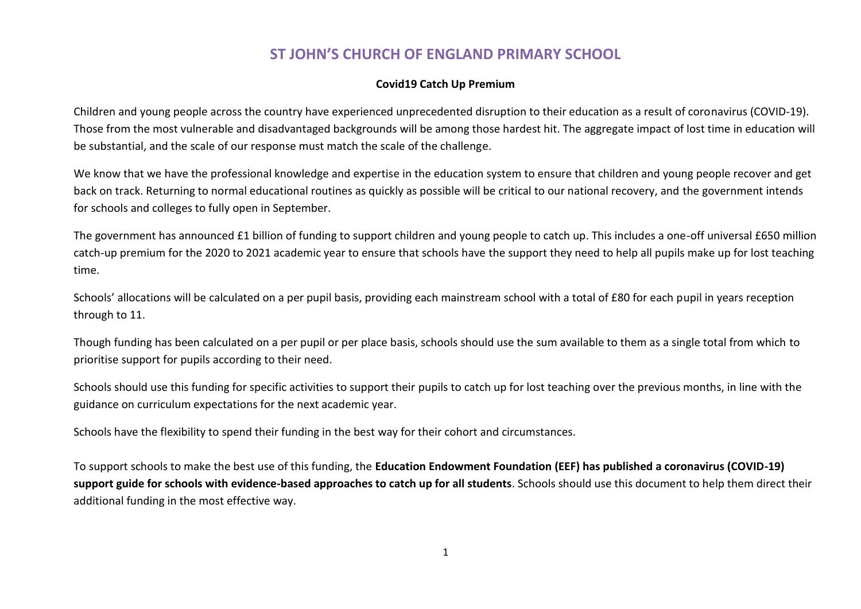## **ST JOHN'S CHURCH OF ENGLAND PRIMARY SCHOOL**

## **Covid19 Catch Up Premium**

Children and young people across the country have experienced unprecedented disruption to their education as a result of coronavirus (COVID-19). Those from the most vulnerable and disadvantaged backgrounds will be among those hardest hit. The aggregate impact of lost time in education will be substantial, and the scale of our response must match the scale of the challenge.

We know that we have the professional knowledge and expertise in the education system to ensure that children and young people recover and get back on track. Returning to normal educational routines as quickly as possible will be critical to our national recovery, and the government intends for schools and colleges to fully open in September.

The government has announced £1 billion of funding to support children and young people to catch up. This includes a one-off universal £650 million catch-up premium for the 2020 to 2021 academic year to ensure that schools have the support they need to help all pupils make up for lost teaching time.

Schools' allocations will be calculated on a per pupil basis, providing each mainstream school with a total of £80 for each pupil in years reception through to 11.

Though funding has been calculated on a per pupil or per place basis, schools should use the sum available to them as a single total from which to prioritise support for pupils according to their need.

Schools should use this funding for specific activities to support their pupils to catch up for lost teaching over the previous months, in line with the guidance on curriculum expectations for the next academic year.

Schools have the flexibility to spend their funding in the best way for their cohort and circumstances.

To support schools to make the best use of this funding, the **Education Endowment Foundation (EEF) has published a coronavirus (COVID-19) support guide for schools with evidence-based approaches to catch up for all students**. Schools should use this document to help them direct their additional funding in the most effective way.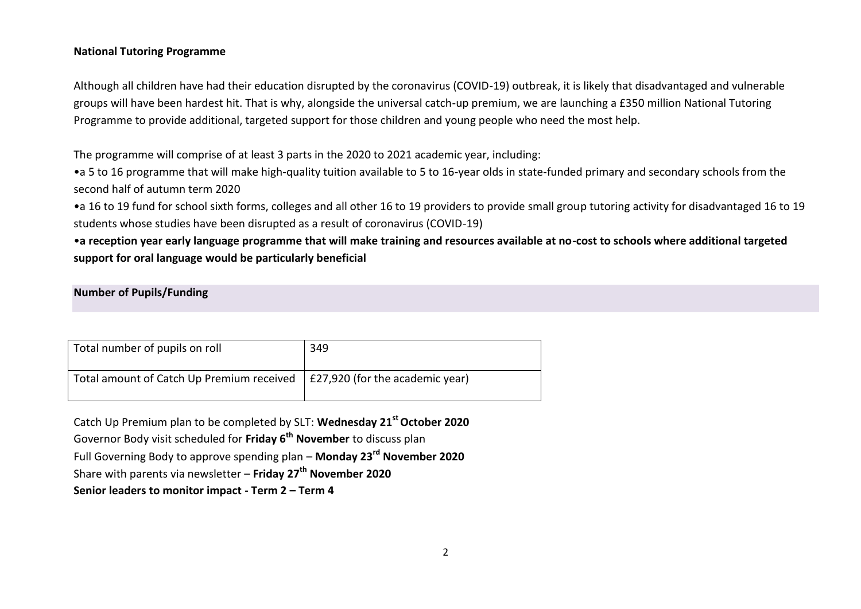## **National Tutoring Programme**

Although all children have had their education disrupted by the coronavirus (COVID-19) outbreak, it is likely that disadvantaged and vulnerable groups will have been hardest hit. That is why, alongside the universal catch-up premium, we are launching a £350 million National Tutoring Programme to provide additional, targeted support for those children and young people who need the most help.

The programme will comprise of at least 3 parts in the 2020 to 2021 academic year, including:

•a 5 to 16 programme that will make high-quality tuition available to 5 to 16-year olds in state-funded primary and secondary schools from the second half of autumn term 2020

•a 16 to 19 fund for school sixth forms, colleges and all other 16 to 19 providers to provide small group tutoring activity for disadvantaged 16 to 19 students whose studies have been disrupted as a result of coronavirus (COVID-19)

•**a reception year early language programme that will make training and resources available at no-cost to schools where additional targeted support for oral language would be particularly beneficial**

**Number of Pupils/Funding**

| Total number of pupils on roll                                              | 349 |
|-----------------------------------------------------------------------------|-----|
| Total amount of Catch Up Premium received   £27,920 (for the academic year) |     |

Catch Up Premium plan to be completed by SLT: **Wednesday 21st October 2020** Governor Body visit scheduled for **Friday 6th November** to discuss plan Full Governing Body to approve spending plan – **Monday 23rd November 2020** Share with parents via newsletter – **Friday 27th November 2020 Senior leaders to monitor impact - Term 2 – Term 4**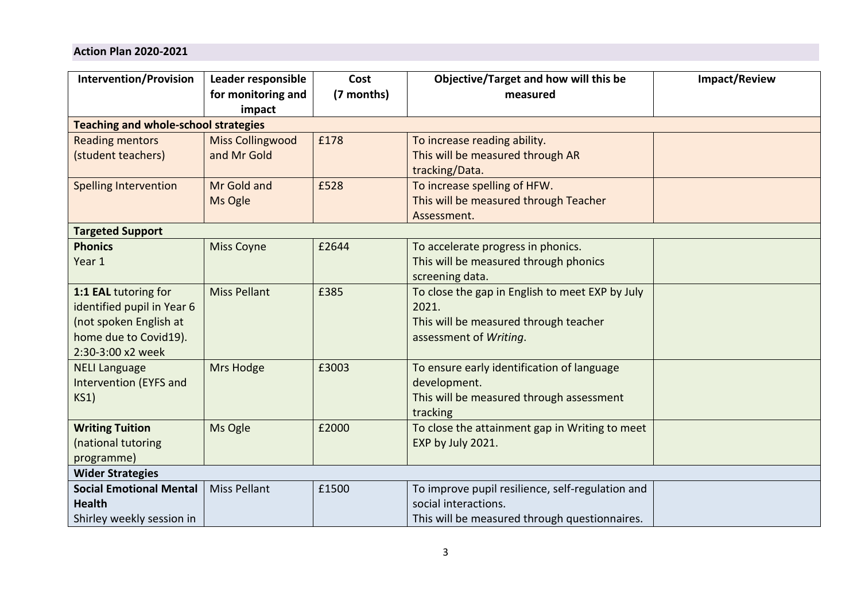## **Action Plan 2020-2021**

| <b>Intervention/Provision</b>                                                                                              | Leader responsible<br>for monitoring and<br>impact | Cost<br>(7 months) | Objective/Target and how will this be<br>measured                                                                           | <b>Impact/Review</b> |  |  |
|----------------------------------------------------------------------------------------------------------------------------|----------------------------------------------------|--------------------|-----------------------------------------------------------------------------------------------------------------------------|----------------------|--|--|
| <b>Teaching and whole-school strategies</b>                                                                                |                                                    |                    |                                                                                                                             |                      |  |  |
| <b>Reading mentors</b><br>(student teachers)                                                                               | <b>Miss Collingwood</b><br>and Mr Gold             | £178               | To increase reading ability.<br>This will be measured through AR<br>tracking/Data.                                          |                      |  |  |
| <b>Spelling Intervention</b>                                                                                               | Mr Gold and<br>Ms Ogle                             | £528               | To increase spelling of HFW.<br>This will be measured through Teacher<br>Assessment.                                        |                      |  |  |
| <b>Targeted Support</b>                                                                                                    |                                                    |                    |                                                                                                                             |                      |  |  |
| <b>Phonics</b><br>Year 1                                                                                                   | <b>Miss Coyne</b>                                  | £2644              | To accelerate progress in phonics.<br>This will be measured through phonics<br>screening data.                              |                      |  |  |
| 1:1 EAL tutoring for<br>identified pupil in Year 6<br>(not spoken English at<br>home due to Covid19).<br>2:30-3:00 x2 week | <b>Miss Pellant</b>                                | £385               | To close the gap in English to meet EXP by July<br>2021.<br>This will be measured through teacher<br>assessment of Writing. |                      |  |  |
| <b>NELI Language</b><br><b>Intervention (EYFS and</b><br>KS1)                                                              | Mrs Hodge                                          | £3003              | To ensure early identification of language<br>development.<br>This will be measured through assessment<br>tracking          |                      |  |  |
| <b>Writing Tuition</b><br>(national tutoring<br>programme)                                                                 | Ms Ogle                                            | £2000              | To close the attainment gap in Writing to meet<br>EXP by July 2021.                                                         |                      |  |  |
| <b>Wider Strategies</b>                                                                                                    |                                                    |                    |                                                                                                                             |                      |  |  |
| <b>Social Emotional Mental</b><br><b>Health</b><br>Shirley weekly session in                                               | <b>Miss Pellant</b>                                | £1500              | To improve pupil resilience, self-regulation and<br>social interactions.<br>This will be measured through questionnaires.   |                      |  |  |